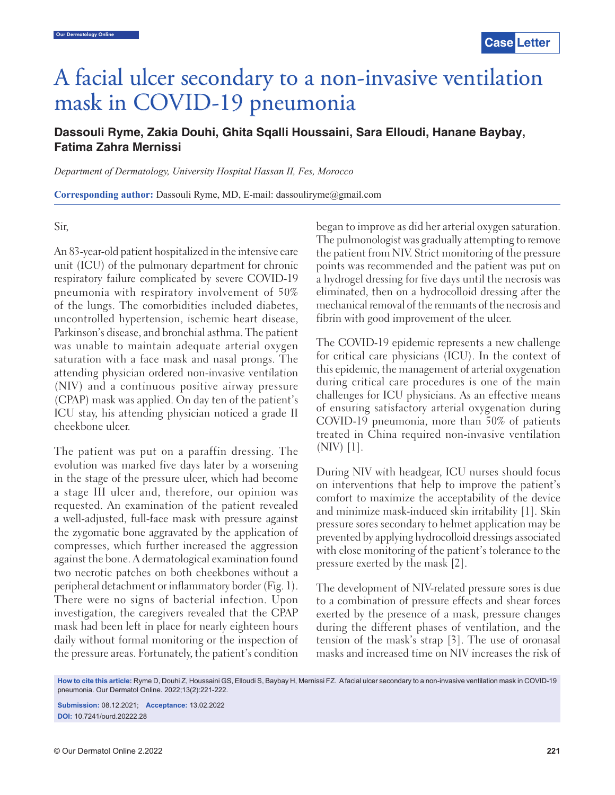# A facial ulcer secondary to a non-invasive ventilation mask in COVID-19 pneumonia

# **Dassouli Ryme, Zakia Douhi, Ghita Sqalli Houssaini, Sara Elloudi, Hanane Baybay, Fatima Zahra Mernissi**

*Department of Dermatology, University Hospital Hassan II, Fes, Morocco*

**Corresponding author:** Dassouli Ryme, MD, E-mail: dassouliryme@gmail.com

### Sir,

An 83-year-old patient hospitalized in the intensive care unit (ICU) of the pulmonary department for chronic respiratory failure complicated by severe COVID-19 pneumonia with respiratory involvement of 50% of the lungs. The comorbidities included diabetes, uncontrolled hypertension, ischemic heart disease, Parkinson's disease, and bronchial asthma. The patient was unable to maintain adequate arterial oxygen saturation with a face mask and nasal prongs. The attending physician ordered non-invasive ventilation (NIV) and a continuous positive airway pressure (CPAP) mask was applied. On day ten of the patient's ICU stay, his attending physician noticed a grade II cheekbone ulcer.

The patient was put on a paraffin dressing. The evolution was marked five days later by a worsening in the stage of the pressure ulcer, which had become a stage III ulcer and, therefore, our opinion was requested. An examination of the patient revealed a well-adjusted, full-face mask with pressure against the zygomatic bone aggravated by the application of compresses, which further increased the aggression against the bone. A dermatological examination found two necrotic patches on both cheekbones without a peripheral detachment or inflammatory border (Fig. 1). There were no signs of bacterial infection. Upon investigation, the caregivers revealed that the CPAP mask had been left in place for nearly eighteen hours daily without formal monitoring or the inspection of the pressure areas. Fortunately, the patient's condition

began to improve as did her arterial oxygen saturation. The pulmonologist was gradually attempting to remove the patient from NIV. Strict monitoring of the pressure points was recommended and the patient was put on a hydrogel dressing for five days until the necrosis was eliminated, then on a hydrocolloid dressing after the mechanical removal of the remnants of the necrosis and fibrin with good improvement of the ulcer.

The COVID-19 epidemic represents a new challenge for critical care physicians (ICU). In the context of this epidemic, the management of arterial oxygenation during critical care procedures is one of the main challenges for ICU physicians. As an effective means of ensuring satisfactory arterial oxygenation during COVID-19 pneumonia, more than 50% of patients treated in China required non-invasive ventilation  $(NIV)$  [1].

During NIV with headgear, ICU nurses should focus on interventions that help to improve the patient's comfort to maximize the acceptability of the device and minimize mask-induced skin irritability [1]. Skin pressure sores secondary to helmet application may be prevented by applying hydrocolloid dressings associated with close monitoring of the patient's tolerance to the pressure exerted by the mask [2].

The development of NIV-related pressure sores is due to a combination of pressure effects and shear forces exerted by the presence of a mask, pressure changes during the different phases of ventilation, and the tension of the mask's strap [3]. The use of oronasal masks and increased time on NIV increases the risk of

**How to cite this article:** Ryme D, Douhi Z, Houssaini GS, Elloudi S, Baybay H, Mernissi FZ. A facial ulcer secondary to a non-invasive ventilation mask in COVID-19 pneumonia. Our Dermatol Online. 2022;13(2):221-222.

**Submission:** 08.12.2021; **Acceptance:** 13.02.2022 **DOI:** 10.7241/ourd.20222.28